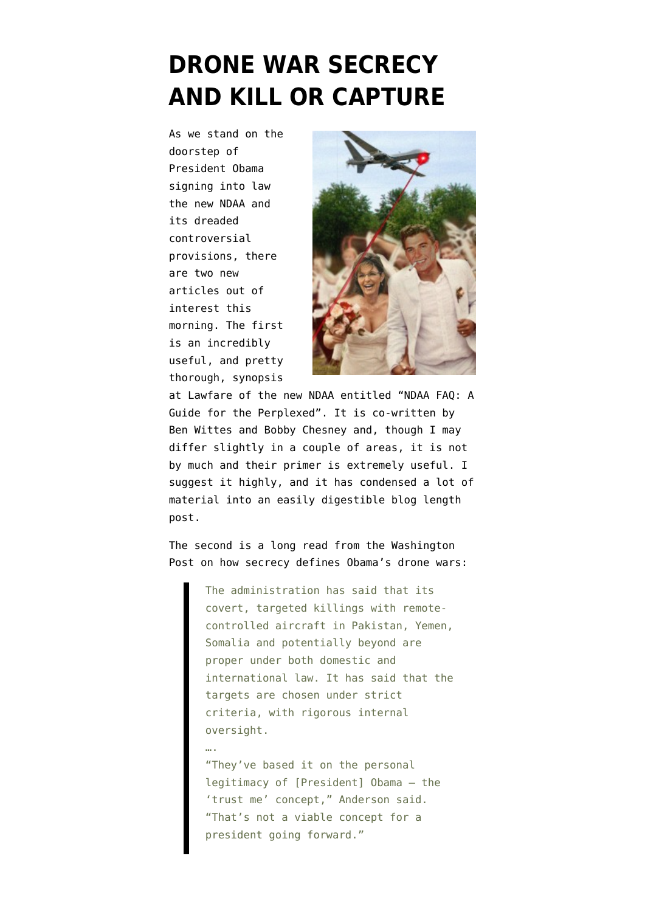## **[DRONE WAR SECRECY](https://www.emptywheel.net/2011/12/20/drone-war-secrecy-kill-or-capture/) [AND KILL OR CAPTURE](https://www.emptywheel.net/2011/12/20/drone-war-secrecy-kill-or-capture/)**

As we stand on the doorstep of President Obama signing into law the new NDAA and its dreaded controversial provisions, there are two new articles out of interest this morning. The first is an incredibly useful, and pretty thorough, synopsis

….



at Lawfare of the new NDAA entitled ["NDAA FAQ: A](http://www.lawfareblog.com/2011/12/ndaa-faq-a-guide-for-the-perplexed/) [Guide for the Perplexed".](http://www.lawfareblog.com/2011/12/ndaa-faq-a-guide-for-the-perplexed/) It is co-written by Ben Wittes and Bobby Chesney and, though I may differ slightly in a couple of areas, it is not by much and their primer is extremely useful. I suggest it highly, and it has condensed a lot of material into an easily digestible blog length post.

The second is a long read from the [Washington](http://www.washingtonpost.com/world/national-security/secrecy-defines-obamas-drone-war/2011/10/28/gIQAPKNR5O_story.html) [Post on how secrecy defines Obama's drone wars:](http://www.washingtonpost.com/world/national-security/secrecy-defines-obamas-drone-war/2011/10/28/gIQAPKNR5O_story.html)

> The administration has said that its covert, targeted killings with remotecontrolled aircraft in Pakistan, Yemen, Somalia and potentially beyond are proper under both domestic and international law. It has said that the targets are chosen under strict criteria, with rigorous internal oversight.

"They've based it on the personal legitimacy of [President] Obama — the 'trust me' concept," Anderson said. "That's not a viable concept for a president going forward."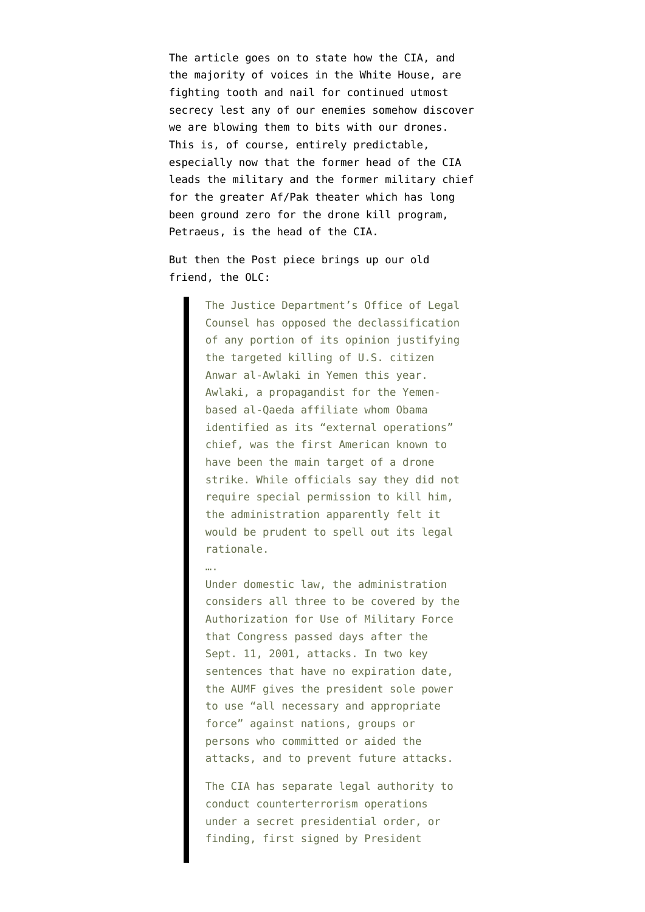The article goes on to state how the CIA, and the majority of voices in the White House, are fighting tooth and nail for continued utmost secrecy lest any of our enemies somehow discover we are blowing them to bits with our drones. This is, of course, entirely predictable, especially now that the former head of the CIA leads the military and the former military chief for the greater Af/Pak theater which has long been ground zero for the drone kill program, Petraeus, is the head of the CIA.

But then the Post piece brings up our old friend, the OLC:

> The Justice Department's Office of Legal Counsel has opposed the declassification of any portion of its opinion justifying the targeted killing of U.S. citizen Anwar al-Awlaki in Yemen this year. Awlaki, a propagandist for the Yemenbased al-Qaeda affiliate whom Obama identified as its "external operations" chief, was the first American known to have been the main target of a drone strike. While officials say they did not require special permission to kill him, the administration apparently felt it would be prudent to spell out its legal rationale.

….

Under domestic law, the administration considers all three to be covered by the Authorization for Use of Military Force that Congress passed days after the Sept. 11, 2001, attacks. In two key sentences that have no expiration date, the AUMF gives the president sole power to use "all necessary and appropriate force" against nations, groups or persons who committed or aided the attacks, and to prevent future attacks.

The CIA has separate legal authority to conduct counterterrorism operations under a secret presidential order, or finding, first signed by President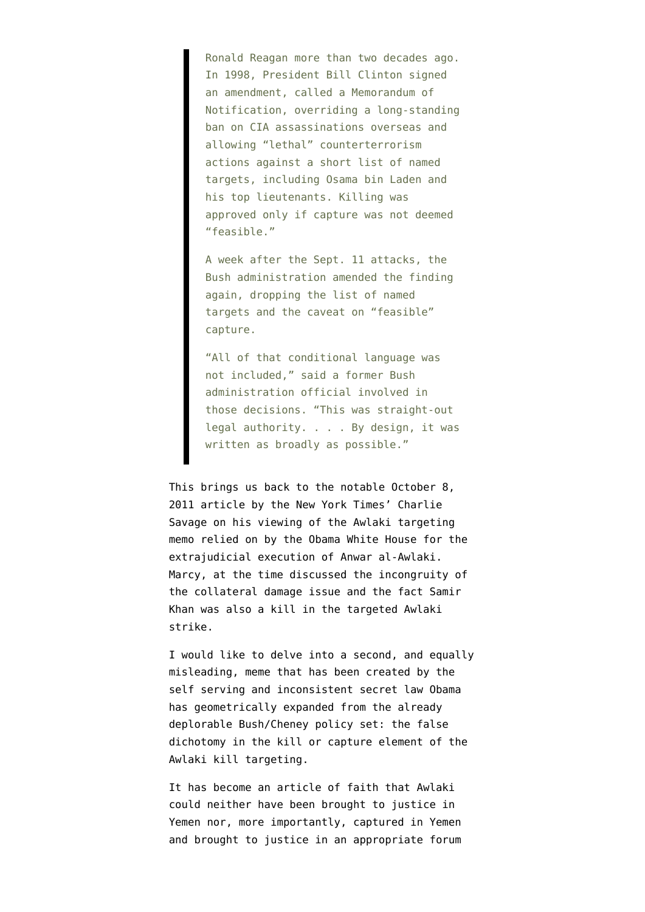Ronald Reagan more than two decades ago. In 1998, President Bill Clinton signed an amendment, called a Memorandum of Notification, overriding a long-standing ban on CIA assassinations overseas and allowing "lethal" counterterrorism actions against a short list of named targets, including Osama bin Laden and his top lieutenants. Killing was approved only if capture was not deemed "feasible."

A week after the Sept. 11 attacks, the Bush administration amended the finding again, dropping the list of named targets and the caveat on "feasible" capture.

"All of that conditional language was not included," said a former Bush administration official involved in those decisions. "This was straight-out legal authority. . . . By design, it was written as broadly as possible."

This brings us back to the notable [October 8,](http://www.nytimes.com/2011/10/09/world/middleeast/secret-us-memo-made-legal-case-to-kill-a-citizen.html?_r=1&emc=na&pagewanted=all) [2011 article by the New York Times' Charlie](http://www.nytimes.com/2011/10/09/world/middleeast/secret-us-memo-made-legal-case-to-kill-a-citizen.html?_r=1&emc=na&pagewanted=all) [Savage](http://www.nytimes.com/2011/10/09/world/middleeast/secret-us-memo-made-legal-case-to-kill-a-citizen.html?_r=1&emc=na&pagewanted=all) on his viewing of the Awlaki targeting memo relied on by the Obama White House for the extrajudicial execution of Anwar al-Awlaki. Marcy, at the time discussed the incongruity of the [collateral damage issue and the fact Samir](http://www.emptywheel.net/2011/10/08/how-can-samir-khan-be-collateral-damage-if-olc-memo-restricted-civilian-death/) [Khan was also a kill in the targeted Awlaki](http://www.emptywheel.net/2011/10/08/how-can-samir-khan-be-collateral-damage-if-olc-memo-restricted-civilian-death/) [strike](http://www.emptywheel.net/2011/10/08/how-can-samir-khan-be-collateral-damage-if-olc-memo-restricted-civilian-death/).

I would like to delve into a second, and equally misleading, meme that has been created by the self serving and inconsistent secret law Obama has geometrically expanded from the already deplorable Bush/Cheney policy set: the false dichotomy in the kill or capture element of the Awlaki kill targeting.

It has become an article of faith that Awlaki could neither have been brought to justice in Yemen nor, more importantly, captured in Yemen and brought to justice in an appropriate forum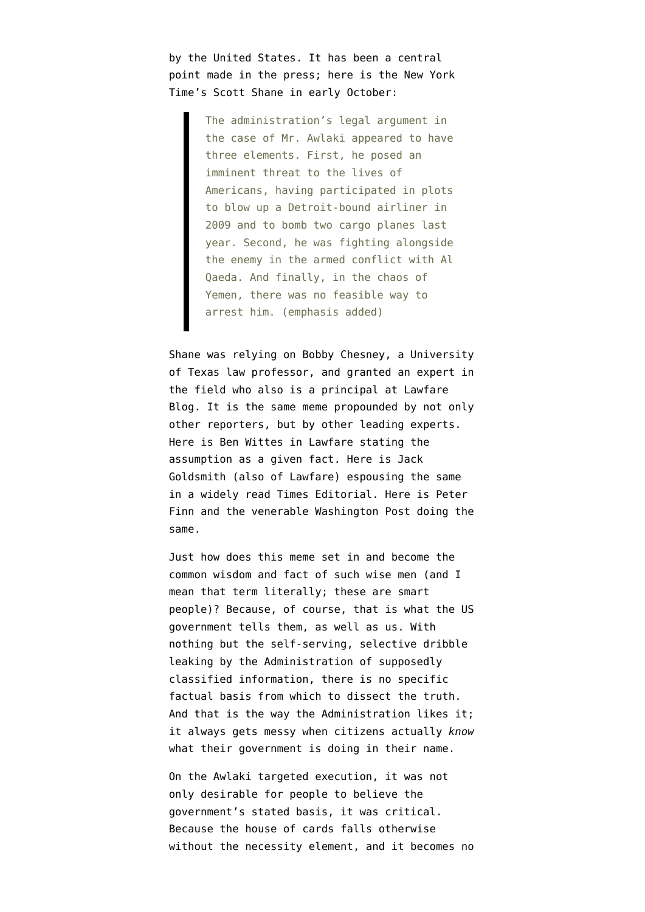by the United States. It has been a central point made in the press; here is the [New York](http://www.nytimes.com/2011/10/01/world/american-strike-on-american-target-revives-contentious-constitutional-issue.html?_r=1) [Time's Scott Shane](http://www.nytimes.com/2011/10/01/world/american-strike-on-american-target-revives-contentious-constitutional-issue.html?_r=1) in early October:

> The administration's legal argument in the case of Mr. Awlaki appeared to have three elements. First, he posed an imminent threat to the lives of Americans, having participated in plots to blow up a Detroit-bound airliner in 2009 and to bomb two cargo planes last year. Second, he was fighting alongside the enemy in the armed conflict with Al Qaeda. And finally, in the chaos of Yemen, there was no feasible way to arrest him. (emphasis added)

Shane was relying on Bobby Chesney, a University of Texas law professor, and granted an expert in the field who also is a principal at Lawfare Blog. It is the same meme propounded by not only other reporters, but by other leading experts. Here is [Ben Wittes in Lawfare](http://www.lawfareblog.com/2011/09/what-process-is-due/) stating the assumption as a given fact. Here is Jack Goldsmith (also of Lawfare) espousing the same in a [widely read Times Editorial.](http://www.nytimes.com/2011/10/01/opinion/a-just-act-of-war.html) Here is [Peter](http://www.washingtonpost.com/world/national-security/aulaqi-killing-reignites-debate-on-limits-of-executive-power/2011/09/30/gIQAx1bUAL_story.html?sub=AR) [Finn and the venerable Washington Post](http://www.washingtonpost.com/world/national-security/aulaqi-killing-reignites-debate-on-limits-of-executive-power/2011/09/30/gIQAx1bUAL_story.html?sub=AR) doing the same.

Just how does this meme set in and become the common wisdom and fact of such wise men (and I mean that term literally; these are smart people)? Because, of course, that is what the US government tells them, as well as us. With nothing but the self-serving, selective dribble leaking by the Administration of supposedly classified information, there is no specific factual basis from which to dissect the truth. And that is the way the Administration likes it; it always gets messy when citizens actually *know* what their government is doing in their name.

On the Awlaki targeted execution, it was not only desirable for people to believe the government's stated basis, it was critical. Because the house of cards falls otherwise without the necessity element, and it becomes no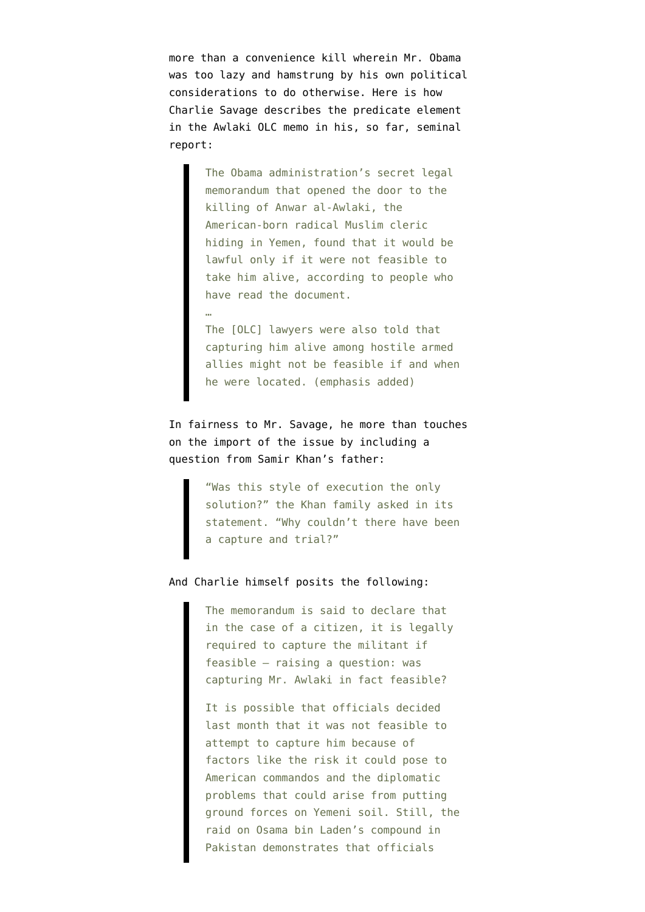more than a convenience kill wherein Mr. Obama was too lazy and hamstrung by his own political considerations to do otherwise. Here is how [Charlie Savage describes the predicate element](https://www.nytimes.com/2011/10/09/world/middleeast/secret-us-memo-made-legal-case-to-kill-a-citizen.html?emc=na&pagewanted=all) in the Awlaki OLC memo in his, so far, seminal report:

> The Obama administration's secret legal memorandum that opened the door to the killing of Anwar al-Awlaki, the American-born radical Muslim cleric hiding in Yemen, found that it would be lawful only if it were not feasible to take him alive, according to people who have read the document.

The [OLC] lawyers were also told that capturing him alive among hostile armed allies might not be feasible if and when he were located. (emphasis added)

…

In fairness to Mr. Savage, he more than touches on the import of the issue by including a question from Samir Khan's father:

> "Was this style of execution the only solution?" the Khan family asked in its statement. "Why couldn't there have been a capture and trial?"

## And Charlie himself posits the following:

The memorandum is said to declare that in the case of a citizen, it is legally required to capture the militant if feasible — raising a question: was capturing Mr. Awlaki in fact feasible?

It is possible that officials decided last month that it was not feasible to attempt to capture him because of factors like the risk it could pose to American commandos and the diplomatic problems that could arise from putting ground forces on Yemeni soil. Still, the raid on Osama bin Laden's compound in Pakistan demonstrates that officials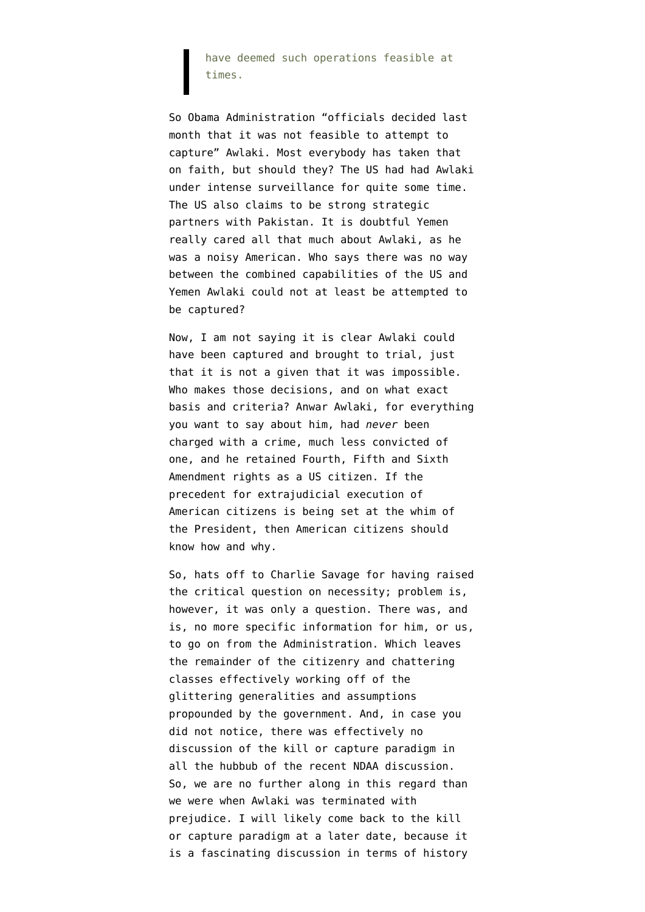have deemed such operations feasible at times.

So Obama Administration "officials decided last month that it was not feasible to attempt to capture" Awlaki. Most everybody has taken that on faith, but should they? The US had had Awlaki under intense surveillance for quite some time. The US also claims to be strong strategic partners with Pakistan. It is doubtful Yemen really cared all that much about Awlaki, as he was a noisy American. Who says there was no way between the combined capabilities of the US and Yemen Awlaki could not at least be attempted to be captured?

Now, I am not saying it is clear Awlaki could have been captured and brought to trial, just that it is not a given that it was impossible. Who makes those decisions, and on what exact basis and criteria? Anwar Awlaki, for everything you want to say about him, had *never* been charged with a crime, much less convicted of one, and he retained Fourth, Fifth and Sixth Amendment rights as a US citizen. If the precedent for extrajudicial execution of American citizens is being set at the whim of the President, then American citizens should know how and why.

So, hats off to Charlie Savage for having raised the critical question on necessity; problem is, however, it was only a question. There was, and is, no more specific information for him, or us, to go on from the Administration. Which leaves the remainder of the citizenry and chattering classes effectively working off of the glittering generalities and assumptions propounded by the government. And, in case you did not notice, there was effectively no discussion of the kill or capture paradigm in all the hubbub of the recent NDAA discussion. So, we are no further along in this regard than we were when Awlaki was terminated with prejudice. I will likely come back to the kill or capture paradigm at a later date, because it is a fascinating discussion in terms of history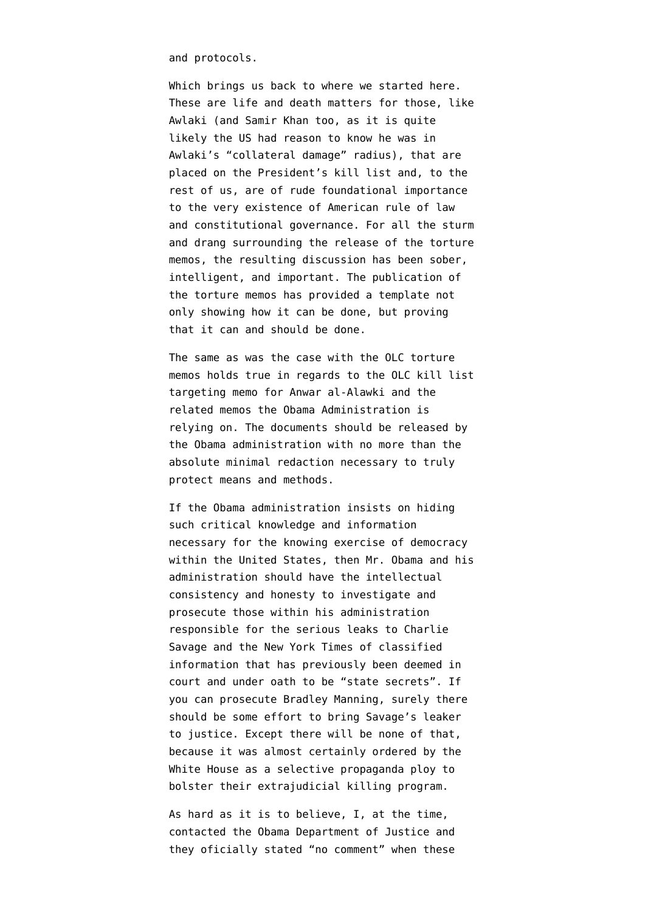and protocols.

Which brings us back to where we started here. These are life and death matters for those, like Awlaki (and Samir Khan too, as it is quite likely the US had reason to know he was in Awlaki's "collateral damage" radius), that are placed on the President's kill list and, to the rest of us, are of rude foundational importance to the very existence of American rule of law and constitutional governance. For all the sturm and drang surrounding the release of the torture memos, the resulting discussion has been sober, intelligent, and important. The publication of the torture memos has provided a template not only showing how it can be done, but proving that it can and should be done.

The same as was the case with the OLC torture memos holds true in regards to the OLC kill list targeting memo for Anwar al-Alawki and the related memos the Obama Administration is relying on. The documents should be released by the Obama administration with no more than the absolute minimal redaction necessary to truly protect means and methods.

If the Obama administration insists on hiding such critical knowledge and information necessary for the knowing exercise of democracy within the United States, then Mr. Obama and his administration should have the intellectual consistency and honesty to investigate and prosecute those within his administration responsible for the serious leaks to Charlie Savage and the New York Times of classified information that has previously been deemed in court and under oath to be "state secrets". If you can prosecute Bradley Manning, surely there should be some effort to bring Savage's leaker to justice. Except there will be none of that, because it was almost certainly ordered by the White House as a selective propaganda ploy to bolster their extrajudicial killing program.

As hard as it is to believe, I, at the time, contacted the Obama Department of Justice and they oficially stated "no comment" when these